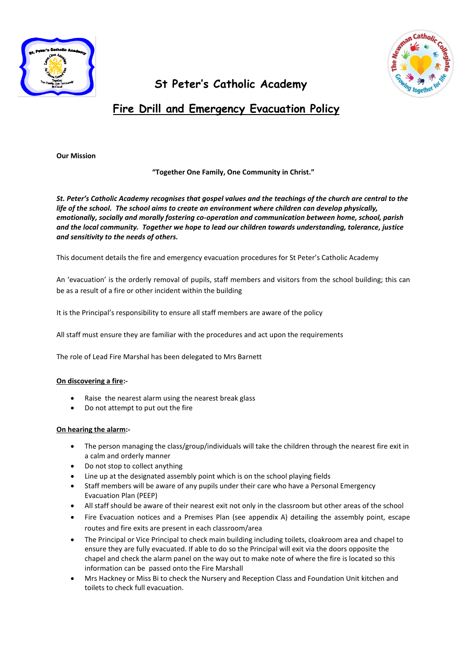



# **St Peter's Catholic Academy**

## **Fire Drill and Emergency Evacuation Policy**

**Our Mission**

**"Together One Family, One Community in Christ."**

*St. Peter's Catholic Academy recognises that gospel values and the teachings of the church are central to the life of the school. The school aims to create an environment where children can develop physically, emotionally, socially and morally fostering co-operation and communication between home, school, parish and the local community. Together we hope to lead our children towards understanding, tolerance, justice and sensitivity to the needs of others.*

This document details the fire and emergency evacuation procedures for St Peter's Catholic Academy

An 'evacuation' is the orderly removal of pupils, staff members and visitors from the school building; this can be as a result of a fire or other incident within the building

It is the Principal's responsibility to ensure all staff members are aware of the policy

All staff must ensure they are familiar with the procedures and act upon the requirements

The role of Lead Fire Marshal has been delegated to Mrs Barnett

### **On discovering a fire:-**

- Raise the nearest alarm using the nearest break glass
- Do not attempt to put out the fire

#### **On hearing the alarm:-**

- The person managing the class/group/individuals will take the children through the nearest fire exit in a calm and orderly manner
- Do not stop to collect anything
- Line up at the designated assembly point which is on the school playing fields
- Staff members will be aware of any pupils under their care who have a Personal Emergency Evacuation Plan (PEEP)
- All staff should be aware of their nearest exit not only in the classroom but other areas of the school
- Fire Evacuation notices and a Premises Plan (see appendix A) detailing the assembly point, escape routes and fire exits are present in each classroom/area
- The Principal or Vice Principal to check main building including toilets, cloakroom area and chapel to ensure they are fully evacuated. If able to do so the Principal will exit via the doors opposite the chapel and check the alarm panel on the way out to make note of where the fire is located so this information can be passed onto the Fire Marshall
- Mrs Hackney or Miss Bi to check the Nursery and Reception Class and Foundation Unit kitchen and toilets to check full evacuation.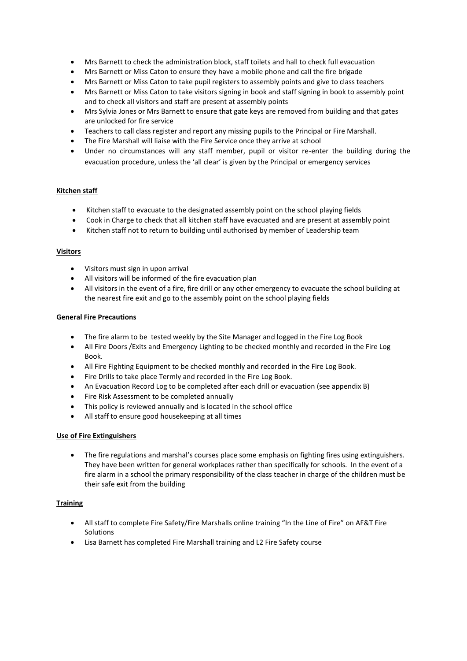- Mrs Barnett to check the administration block, staff toilets and hall to check full evacuation
- Mrs Barnett or Miss Caton to ensure they have a mobile phone and call the fire brigade
- Mrs Barnett or Miss Caton to take pupil registers to assembly points and give to class teachers
- Mrs Barnett or Miss Caton to take visitors signing in book and staff signing in book to assembly point and to check all visitors and staff are present at assembly points
- Mrs Sylvia Jones or Mrs Barnett to ensure that gate keys are removed from building and that gates are unlocked for fire service
- Teachers to call class register and report any missing pupils to the Principal or Fire Marshall.
- The Fire Marshall will liaise with the Fire Service once they arrive at school
- Under no circumstances will any staff member, pupil or visitor re-enter the building during the evacuation procedure, unless the 'all clear' is given by the Principal or emergency services

#### **Kitchen staff**

- Kitchen staff to evacuate to the designated assembly point on the school playing fields
- Cook in Charge to check that all kitchen staff have evacuated and are present at assembly point
- Kitchen staff not to return to building until authorised by member of Leadership team

#### **Visitors**

- Visitors must sign in upon arrival
- All visitors will be informed of the fire evacuation plan
- All visitors in the event of a fire, fire drill or any other emergency to evacuate the school building at the nearest fire exit and go to the assembly point on the school playing fields

#### **General Fire Precautions**

- The fire alarm to be tested weekly by the Site Manager and logged in the Fire Log Book
- All Fire Doors /Exits and Emergency Lighting to be checked monthly and recorded in the Fire Log Book.
- All Fire Fighting Equipment to be checked monthly and recorded in the Fire Log Book.
- Fire Drills to take place Termly and recorded in the Fire Log Book.
- An Evacuation Record Log to be completed after each drill or evacuation (see appendix B)
- Fire Risk Assessment to be completed annually
- This policy is reviewed annually and is located in the school office
- All staff to ensure good housekeeping at all times

#### **Use of Fire Extinguishers**

 The fire regulations and marshal's courses place some emphasis on fighting fires using extinguishers. They have been written for general workplaces rather than specifically for schools. In the event of a fire alarm in a school the primary responsibility of the class teacher in charge of the children must be their safe exit from the building

#### **Training**

- All staff to complete Fire Safety/Fire Marshalls online training "In the Line of Fire" on AF&T Fire Solutions
- Lisa Barnett has completed Fire Marshall training and L2 Fire Safety course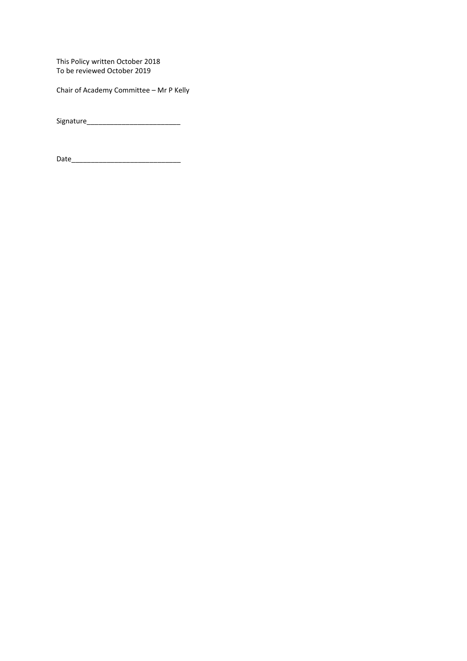This Policy written October 2018 To be reviewed October 2019

Chair of Academy Committee – Mr P Kelly

Signature\_\_\_\_\_\_\_\_\_\_\_\_\_\_\_\_\_\_\_\_\_\_\_\_

Date\_\_\_\_\_\_\_\_\_\_\_\_\_\_\_\_\_\_\_\_\_\_\_\_\_\_\_\_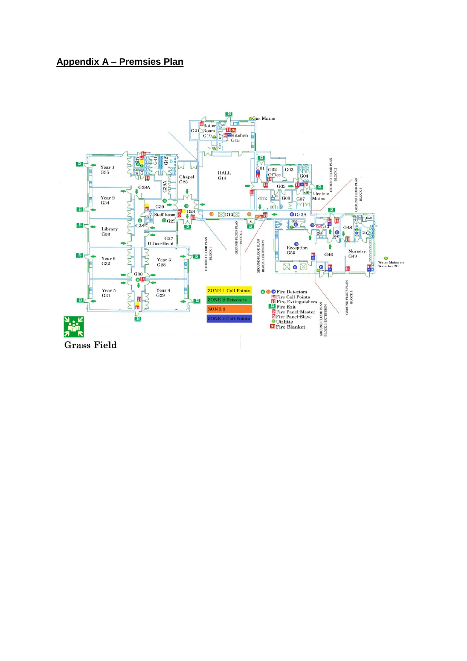### **Appendix A - Premsies Plan**